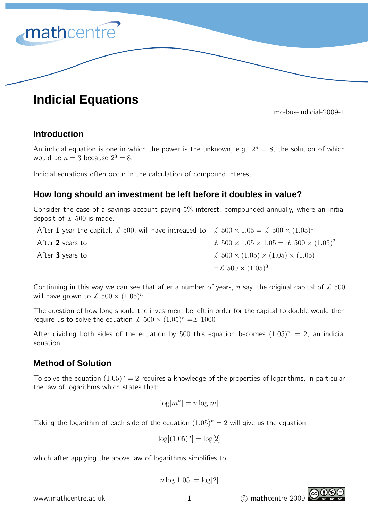

# **Indicial Equations**

mc-bus-indicial-2009-1

### **Introduction**

An indicial equation is one in which the power is the unknown, e.g.  $2^n = 8$ , the solution of which would be  $n=3$  because  $2^3=8$ .

Indicial equations often occur in the calculation of compound interest.

## **How long should an investment be left before it doubles in value?**

Consider the case of a savings account paying 5% interest, compounded annually, where an initial deposit of  $\pounds$  500 is made.

After 1 year the capital,  $\mathcal L$  500, will have increased to  $\mathcal L$  500  $\times$  1.05 =  $\mathcal L$  500  $\times$   $(1.05)^1$ After 2 years to  $\mathcal{L}$  500  $\times$  1.05  $\times$  1.05  $\mathcal{L}$  500  $\times$  (1.05)<sup>2</sup> After **3** years to  $\qquad \qquad \mathcal{L} \ 500 \times (1.05) \times (1.05) \times (1.05)$  $=\pounds 500 \times (1.05)^3$ 

Continuing in this way we can see that after a number of years, n say, the original capital of  $\pounds$  500 will have grown to  $\mathcal{L}$  500  $\times$   $(1.05)^n$ .

The question of how long should the investment be left in order for the capital to double would then require us to solve the equation  $\mathcal{L}$  500  $\times$   $(1.05)^n = \mathcal{L}$  1000

After dividing both sides of the equation by 500 this equation becomes  $(1.05)^n = 2$ , an indicial equation.

## **Method of Solution**

To solve the equation  $(1.05)^n = 2$  requires a knowledge of the properties of logarithms, in particular the law of logarithms which states that:

$$
\log[m^n] = n \log[m]
$$

Taking the logarithm of each side of the equation  $(1.05)^n = 2$  will give us the equation

 $\log[(1.05)^n] = \log[2]$ 

which after applying the above law of logarithms simplifies to

$$
n\log[1.05]=\log[2]
$$

www.mathcentre.ac.uk 1 1 C mathcentre 2009